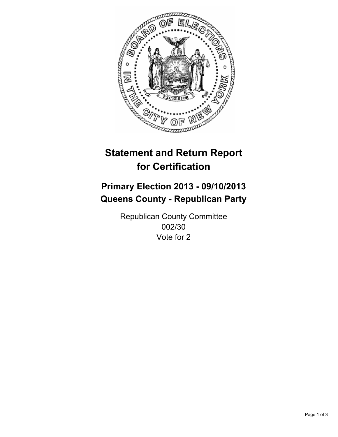

# **Statement and Return Report for Certification**

# **Primary Election 2013 - 09/10/2013 Queens County - Republican Party**

Republican County Committee 002/30 Vote for 2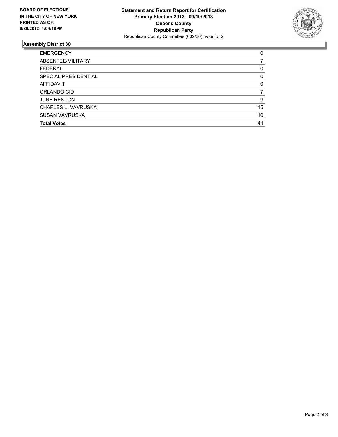

## **Assembly District 30**

| <b>EMERGENCY</b>      | 0        |
|-----------------------|----------|
| ABSENTEE/MILITARY     |          |
| <b>FEDERAL</b>        | 0        |
| SPECIAL PRESIDENTIAL  | $\Omega$ |
| AFFIDAVIT             | 0        |
| ORLANDO CID           |          |
| <b>JUNE RENTON</b>    | 9        |
| CHARLES L. VAVRUSKA   | 15       |
| <b>SUSAN VAVRUSKA</b> | 10       |
| <b>Total Votes</b>    | 41       |